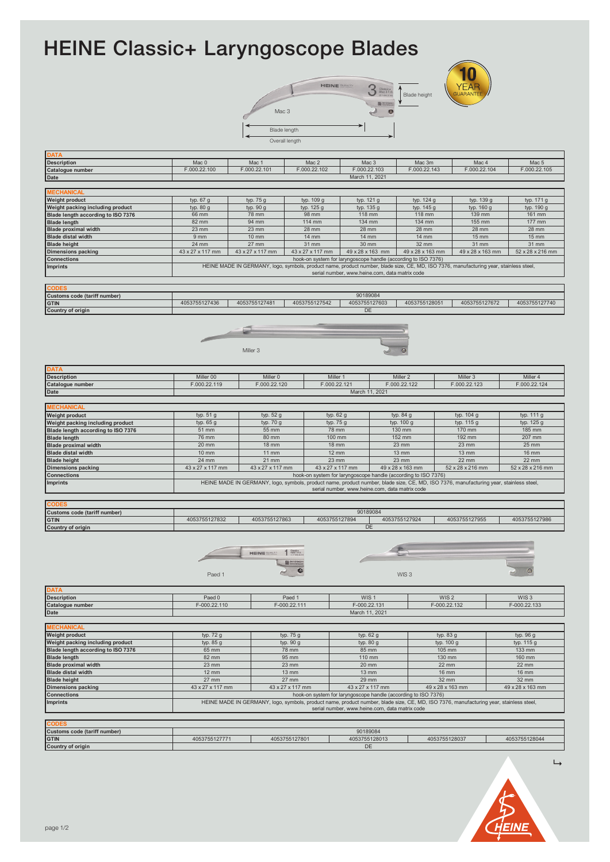## HEINE Classic+ Laryngoscope Blades

|                     | LU<br><b>YEAR</b><br><b>HEINE <i><u>QUALITY</u></i></b><br>$\begin{array}{l} \text{Classic} + \\ \text{Mac 3 F.O.} \\ \text{at row} + \\ \end{array}$<br>$\sqrt{2}$<br><b>GUARANTEE</b><br>Blade height<br>w |
|---------------------|--------------------------------------------------------------------------------------------------------------------------------------------------------------------------------------------------------------|
| Mac 3               | <b>B</b> Streamer                                                                                                                                                                                            |
| Blade length        |                                                                                                                                                                                                              |
| ↽<br>Overall length |                                                                                                                                                                                                              |



| <b>Description</b>                 | Mac <sub>0</sub> | Mac 1              | Mac 2            | Mac 3                                                          | Mac 3m           | Mac 4                                                                                                                                  | Mac 5            |
|------------------------------------|------------------|--------------------|------------------|----------------------------------------------------------------|------------------|----------------------------------------------------------------------------------------------------------------------------------------|------------------|
| Catalogue number                   | F.000.22.100     | F.000.22.101       | F.000.22.102     | F.000.22.103                                                   | F.000.22.143     | F.000.22.104                                                                                                                           | F.000.22.105     |
| Date                               |                  |                    |                  | March 11, 2021                                                 |                  |                                                                                                                                        |                  |
|                                    |                  |                    |                  |                                                                |                  |                                                                                                                                        |                  |
| <b>MECHANICAL</b>                  |                  |                    |                  |                                                                |                  |                                                                                                                                        |                  |
| Weight product                     | typ. 67 g        | typ. 75 g          | typ. 109 g       | typ. 121 g                                                     | typ. 124 g       | typ. 139 g                                                                                                                             | typ. 171 g       |
| Weight packing including product   | typ. 80 g        | typ. 90 g          | typ. 125 g       | typ. 135 g                                                     | typ. 145 g       | typ. 160 g                                                                                                                             | typ. 190 g       |
| Blade length according to ISO 7376 | 66 mm            | 78 mm              | 98 mm            | 118 mm                                                         | 118 mm           | 139 mm                                                                                                                                 | 161 mm           |
| <b>Blade length</b>                | 82 mm            | 94 mm              | 114 mm           | 134 mm                                                         | 134 mm           | 155 mm                                                                                                                                 | 177 mm           |
| <b>Blade proximal width</b>        | 23 mm            | 23 mm              | 28 mm            | 28 mm                                                          | 28 mm            | 28 mm                                                                                                                                  | 28 mm            |
| <b>Blade distal width</b>          | 9 mm             | 10 mm              | 14 mm            | 14 mm                                                          | 14 mm            | 15 mm                                                                                                                                  | 15 mm            |
| <b>Blade height</b>                | 24 mm            | 27 mm              | 31 mm            | 30 mm                                                          | 32 mm            | 31 mm                                                                                                                                  | 31 mm            |
| <b>Dimensions packing</b>          | 43 x 27 x 117 mm | 43 x 27 x 117 mm   | 43 x 27 x 117 mm | 49 x 28 x 163 mm                                               | 49 x 28 x 163 mm | 49 x 28 x 163 mm                                                                                                                       | 52 x 28 x 216 mm |
| <b>Connections</b>                 |                  |                    |                  | hook-on system for laryngoscope handle (according to ISO 7376) |                  |                                                                                                                                        |                  |
| <b>Imprints</b>                    |                  |                    |                  |                                                                |                  | HEINE MADE IN GERMANY, logo, symbols, product name, product number, blade size, CE, MD, ISO 7376, manufacturing year, stainless steel, |                  |
|                                    |                  |                    |                  | serial number, www.heine.com, data matrix code                 |                  |                                                                                                                                        |                  |
|                                    |                  |                    |                  |                                                                |                  |                                                                                                                                        |                  |
| <b>CODES</b>                       |                  |                    |                  |                                                                |                  |                                                                                                                                        |                  |
| Customs code (tariff number)       |                  |                    |                  | 90189084                                                       |                  |                                                                                                                                        |                  |
|                                    |                  |                    | 4053755127542    |                                                                |                  |                                                                                                                                        |                  |
| <b>GTIN</b>                        | 4053755127436    | 4053755127481      |                  | 4053755127603                                                  | 4053755128051    | 4053755127672                                                                                                                          | 4053755127740    |
| Country of origin                  |                  |                    |                  | DE                                                             |                  |                                                                                                                                        |                  |
|                                    |                  |                    |                  |                                                                |                  |                                                                                                                                        |                  |
|                                    |                  |                    |                  |                                                                |                  |                                                                                                                                        |                  |
|                                    |                  |                    |                  |                                                                |                  |                                                                                                                                        |                  |
|                                    |                  |                    |                  |                                                                |                  |                                                                                                                                        |                  |
|                                    |                  | Miller 3           |                  |                                                                |                  |                                                                                                                                        |                  |
|                                    |                  |                    |                  |                                                                |                  |                                                                                                                                        |                  |
|                                    |                  |                    |                  |                                                                |                  |                                                                                                                                        |                  |
| <b>DATA</b>                        |                  |                    |                  |                                                                |                  |                                                                                                                                        |                  |
| <b>Description</b>                 | Miller 00        | Miller 0           | Miller 1         |                                                                | Miller 2         | Miller 3                                                                                                                               | Miller 4         |
| Catalogue number                   | F.000.22.119     | F.000.22.120       | F.000.22.121     |                                                                | F.000.22.122     | F.000.22.123                                                                                                                           | F.000.22.124     |
| Date                               |                  |                    |                  | March 11, 2021                                                 |                  |                                                                                                                                        |                  |
|                                    |                  |                    |                  |                                                                |                  |                                                                                                                                        |                  |
| <b>MECHANICAL</b>                  |                  |                    |                  |                                                                |                  |                                                                                                                                        |                  |
|                                    |                  |                    |                  |                                                                |                  |                                                                                                                                        |                  |
| Weight product                     | typ. 51 g        | typ. 52 g          | typ. 62 g        |                                                                | typ. 84 g        | typ. 104 g                                                                                                                             | typ. 111 g       |
| Weight packing including product   | typ. 65 g        | typ. 70 g          | typ. 75 g        |                                                                | typ. 100 g       | typ. 115 g                                                                                                                             | typ. 125 g       |
| Blade length according to ISO 7376 | 51 mm            | 55 mm              | <b>78 mm</b>     |                                                                | 130 mm           | 170 mm                                                                                                                                 | 185 mm           |
| <b>Blade length</b>                | 76 mm            | 80 mm              | 100 mm           |                                                                | 152 mm           | 192 mm                                                                                                                                 | 207 mm           |
| <b>Blade proximal width</b>        | 20 mm            | <b>18 mm</b>       | <b>18 mm</b>     |                                                                | 23 mm            | 23 mm                                                                                                                                  | 25 mm            |
| <b>Blade distal width</b>          | <b>10 mm</b>     | <b>11 mm</b>       | <b>12 mm</b>     |                                                                | 13 mm            | <b>13 mm</b>                                                                                                                           | <b>16 mm</b>     |
| <b>Blade height</b>                | 24 mm            | 21 mm              | 23 mm            |                                                                | 23 mm            | 22 mm                                                                                                                                  | 22 mm            |
|                                    | 43 x 27 x 117 mm |                    |                  |                                                                |                  |                                                                                                                                        |                  |
| <b>Dimensions packing</b>          |                  | 43 x 27 x 117 mm   | 43 x 27 x 117 mm |                                                                | 49 x 28 x 163 mm | 52 x 28 x 216 mm                                                                                                                       | 52 x 28 x 216 mm |
| <b>Connections</b>                 |                  |                    |                  | hook-on system for laryngoscope handle (according to ISO 7376) |                  |                                                                                                                                        |                  |
| <b>Imprints</b>                    |                  |                    |                  |                                                                |                  | HEINE MADE IN GERMANY, logo, symbols, product name, product number, blade size, CE, MD, ISO 7376, manufacturing year, stainless steel, |                  |
|                                    |                  |                    |                  | serial number, www.heine.com, data matrix code                 |                  |                                                                                                                                        |                  |
|                                    |                  |                    |                  |                                                                |                  |                                                                                                                                        |                  |
| <b>CODES</b>                       |                  |                    |                  |                                                                |                  |                                                                                                                                        |                  |
| Customs code (tariff number)       |                  |                    |                  | 90189084                                                       |                  |                                                                                                                                        |                  |
| <b>GTIN</b>                        | 4053755127832    | 4053755127863      | 4053755127894    |                                                                | 4053755127924    | 4053755127955                                                                                                                          | 4053755127986    |
| Country of origin                  |                  |                    |                  | DE                                                             |                  |                                                                                                                                        |                  |
|                                    |                  |                    |                  |                                                                |                  |                                                                                                                                        |                  |
|                                    |                  |                    |                  |                                                                |                  |                                                                                                                                        |                  |
|                                    |                  |                    |                  |                                                                |                  |                                                                                                                                        |                  |
|                                    |                  | <b>HEINE SWITT</b> |                  |                                                                |                  |                                                                                                                                        |                  |
|                                    |                  |                    |                  |                                                                |                  |                                                                                                                                        |                  |
|                                    |                  |                    |                  |                                                                |                  |                                                                                                                                        | ø                |
|                                    | Paed 1           |                    |                  |                                                                | WIS <sub>3</sub> |                                                                                                                                        |                  |
|                                    |                  |                    |                  |                                                                |                  |                                                                                                                                        |                  |
| <b>DATA</b>                        |                  |                    |                  |                                                                |                  |                                                                                                                                        |                  |
| <b>Description</b>                 | Paed 0           |                    | Paed 1           | WIS <sub>1</sub>                                               |                  | WIS <sub>2</sub>                                                                                                                       | WIS <sub>3</sub> |
| Catalogue number                   | F-000.22.110     |                    | F-000.22.111     |                                                                |                  | F-000.22.132                                                                                                                           | F-000.22.133     |
| Date                               |                  |                    |                  | F-000.22.131<br>March 11, 2021                                 |                  |                                                                                                                                        |                  |
|                                    |                  |                    |                  |                                                                |                  |                                                                                                                                        |                  |
|                                    |                  |                    |                  |                                                                |                  |                                                                                                                                        |                  |
| <b>MECHANICAL</b>                  |                  |                    |                  |                                                                |                  |                                                                                                                                        |                  |
| <b>Weight product</b>              | typ. 72 g        |                    | typ. 75 g        | typ. 62 g                                                      |                  | typ. $83 g$                                                                                                                            | typ. 96 g        |
| Weight packing including product   | typ. 85 g        |                    | typ. 90 g        | typ. 80 g                                                      |                  | typ. 100 g                                                                                                                             | typ. 115 g       |
| Blade length according to ISO 7376 | 65 mm            |                    | 78 mm            | 85 mm                                                          |                  | 105 mm                                                                                                                                 | 133 mm           |
| <b>Blade length</b>                | 82 mm            |                    | 95 mm            | 110 mm                                                         |                  | 130 mm                                                                                                                                 | 160 mm           |
| <b>Blade proximal width</b>        | 23 mm            |                    | 23 mm            | 20 mm                                                          |                  | 22 mm                                                                                                                                  | 22 mm            |
| <b>Blade distal width</b>          | 12 mm            |                    | 13 mm            | $13 \text{ mm}$                                                |                  | <b>16 mm</b>                                                                                                                           | 16 mm            |
|                                    |                  |                    |                  |                                                                |                  |                                                                                                                                        |                  |
| <b>Blade height</b>                | 27 mm            |                    | 27 mm            | 29 mm                                                          |                  | 32 mm                                                                                                                                  | 32 mm            |
| <b>Dimensions packing</b>          | 43 x 27 x 117 mm |                    | 43 x 27 x 117 mm | 43 x 27 x 117 mm                                               |                  | 49 x 28 x 163 mm                                                                                                                       | 49 x 28 x 163 mm |
| <b>Connections</b>                 |                  |                    |                  | hook-on system for laryngoscope handle (according to ISO 7376) |                  |                                                                                                                                        |                  |
| Imprints                           |                  |                    |                  |                                                                |                  |                                                                                                                                        |                  |
|                                    |                  |                    |                  |                                                                |                  |                                                                                                                                        |                  |
|                                    |                  |                    |                  | serial number, www.heine.com, data matrix code                 |                  | HEINE MADE IN GERMANY, logo, symbols, product name, product number, blade size, CE, MD, ISO 7376, manufacturing year, stainless steel, |                  |

| <b>ICODES</b>                |               |               |               |               |               |  |
|------------------------------|---------------|---------------|---------------|---------------|---------------|--|
| Customs code (tariff number) |               |               | 90189084      |               |               |  |
| GTIN                         | 4053755127771 | 4053755127801 | 4053755128013 | 4053755128037 | 4053755128044 |  |
| Country of origin            |               |               | DE            |               |               |  |
|                              |               |               |               |               |               |  |

On the restriction of the use of certain hazardous substances in electrical and electronic equipment



 $\mapsto$ 

**DATA**

**REACH PARTIES** 

**HEINE CLASSIC CONSUMING CONSUMING CONSUMING CONSUMING CONSUMING CONSUMING CONSUMING CONSUMING CONSUMING CONSUMING** 

**Directive (2011/65/EU) ROHS**

**Country of origin**